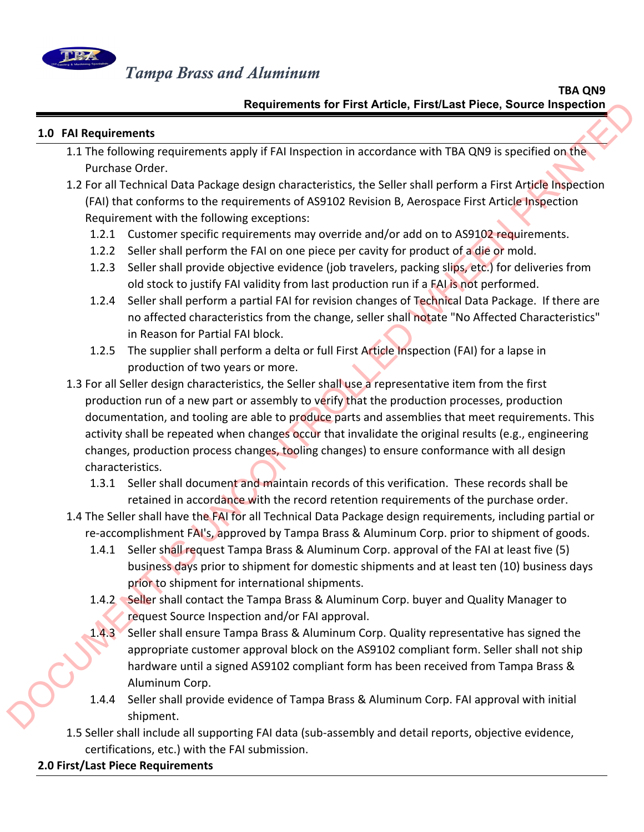

#### $\mathsf{TBA\ QN9}$ **Requirements for First Article, First/Last Piece, Source Inspection**

### **1.0 FAI Requirements**

- 1.1 The following requirements apply if FAI Inspection in accordance with TBA QN9 is specified on the Purchase Order.
- 1.2 For all Technical Data Package design characteristics, the Seller shall perform a First Article Inspection (FAI) that conforms to the requirements of AS9102 Revision B, Aerospace First Article Inspection Requirement with the following exceptions:
	- 1.2.1 Customer specific requirements may override and/or add on to AS9102 requirements.
	- 1.2.2 Seller shall perform the FAI on one piece per cavity for product of a die or mold.
	- 1.2.3 Seller shall provide objective evidence (job travelers, packing slips, etc.) for deliveries from old stock to justify FAI validity from last production run if a FAI is not performed.
	- 1.2.4 Seller shall perform a partial FAI for revision changes of Technical Data Package. If there are no affected characteristics from the change, seller shall notate "No Affected Characteristics" in Reason for Partial FAI block.
	- 1.2.5 The supplier shall perform a delta or full First Article Inspection (FAI) for a lapse in production of two years or more.
- 1.3 For all Seller design characteristics, the Seller shall use a representative item from the first production run of a new part or assembly to verify that the production processes, production documentation, and tooling are able to produce parts and assemblies that meet requirements. This activity shall be repeated when changes occur that invalidate the original results (e.g., engineering changes, production process changes, tooling changes) to ensure conformance with all design characteristics. **Example in the first Article, First Lat Piece, Source inspection<br>
1.0 FM Requirements<br>
1.0 The following requirements apply if IN1 inspection in accordance with TBA QN9 is specified on the<br>
2.1cm all technical Data Packag** 
	- 1.3.1 Seller shall document and maintain records of this verification. These records shall be retained in accordance with the record retention requirements of the purchase order.
	- 1.4 The Seller shall have the FAI for all Technical Data Package design requirements, including partial or re‐accomplishment FAI's, approved by Tampa Brass & Aluminum Corp. prior to shipment of goods.
		- 1.4.1 Seller shall request Tampa Brass & Aluminum Corp. approval of the FAI at least five (5) business days prior to shipment for domestic shipments and at least ten (10) business days prior to shipment for international shipments.
		- 1.4.2 Seller shall contact the Tampa Brass & Aluminum Corp. buyer and Quality Manager to request Source Inspection and/or FAI approval.
		- 1.4.3 Seller shall ensure Tampa Brass & Aluminum Corp. Quality representative has signed the appropriate customer approval block on the AS9102 compliant form. Seller shall not ship hardware until a signed AS9102 compliant form has been received from Tampa Brass & Aluminum Corp.
		- 1.4.4 Seller shall provide evidence of Tampa Brass & Aluminum Corp. FAI approval with initial shipment.
	- 1.5 Seller shall include all supporting FAI data (sub‐assembly and detail reports, objective evidence, certifications, etc.) with the FAI submission.

# **2.0 First/Last Piece Requirements**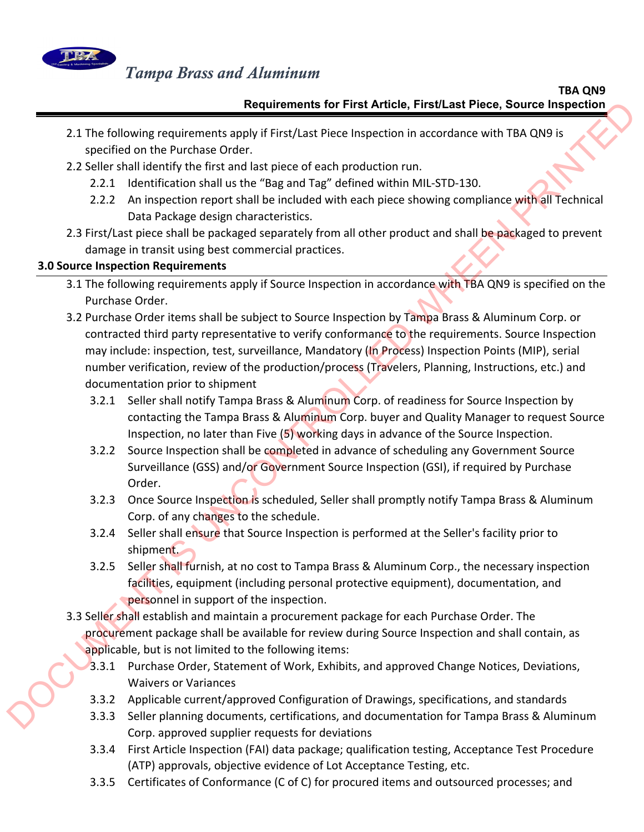

#### $\mathsf{TBA\ QN9}$ **Requirements for First Article, First/Last Piece, Source Inspection**

- 2.1 The following requirements apply if First/Last Piece Inspection in accordance with TBA QN9 is specified on the Purchase Order.
- 2.2 Seller shall identify the first and last piece of each production run.
	- 2.2.1 Identification shall us the "Bag and Tag" defined within MIL‐STD‐130.
	- 2.2.2 An inspection report shall be included with each piece showing compliance with all Technical Data Package design characteristics.
- 2.3 First/Last piece shall be packaged separately from all other product and shall be packaged to prevent damage in transit using best commercial practices.

## **3.0 Source Inspection Requirements**

- 3.1 The following requirements apply if Source Inspection in accordance with TBA QN9 is specified on the Purchase Order.
- 3.2 Purchase Order items shall be subject to Source Inspection by Tampa Brass & Aluminum Corp. or contracted third party representative to verify conformance to the requirements. Source Inspection may include: inspection, test, surveillance, Mandatory (In Process) Inspection Points (MIP), serial number verification, review of the production/process (Travelers, Planning, Instructions, etc.) and documentation prior to shipment Requirements for First Article, First/Last Piece, Source inspection<br>
2.1 The following requirements apply first/Last Piece inspection<br>
2.2 Source insult demotistics of the following the first and below the head of producti
	- 3.2.1 Seller shall notify Tampa Brass & Aluminum Corp. of readiness for Source Inspection by contacting the Tampa Brass & Aluminum Corp. buyer and Quality Manager to request Source Inspection, no later than Five (5) working days in advance of the Source Inspection.
	- 3.2.2 Source Inspection shall be completed in advance of scheduling any Government Source Surveillance (GSS) and/or Government Source Inspection (GSI), if required by Purchase Order.
	- 3.2.3 Once Source Inspection is scheduled, Seller shall promptly notify Tampa Brass & Aluminum Corp. of any changes to the schedule.
	- 3.2.4 Seller shall ensure that Source Inspection is performed at the Seller's facility prior to shipment.
	- 3.2.5 Seller shall furnish, at no cost to Tampa Brass & Aluminum Corp., the necessary inspection facilities, equipment (including personal protective equipment), documentation, and personnel in support of the inspection.
	- 3.3 Seller shall establish and maintain a procurement package for each Purchase Order. The procurement package shall be available for review during Source Inspection and shall contain, as applicable, but is not limited to the following items:
		- 3.3.1 Purchase Order, Statement of Work, Exhibits, and approved Change Notices, Deviations, Waivers or Variances
		- 3.3.2 Applicable current/approved Configuration of Drawings, specifications, and standards
		- 3.3.3 Seller planning documents, certifications, and documentation for Tampa Brass & Aluminum Corp. approved supplier requests for deviations
		- 3.3.4 First Article Inspection (FAI) data package; qualification testing, Acceptance Test Procedure (ATP) approvals, objective evidence of Lot Acceptance Testing, etc.
		- 3.3.5 Certificates of Conformance (C of C) for procured items and outsourced processes; and